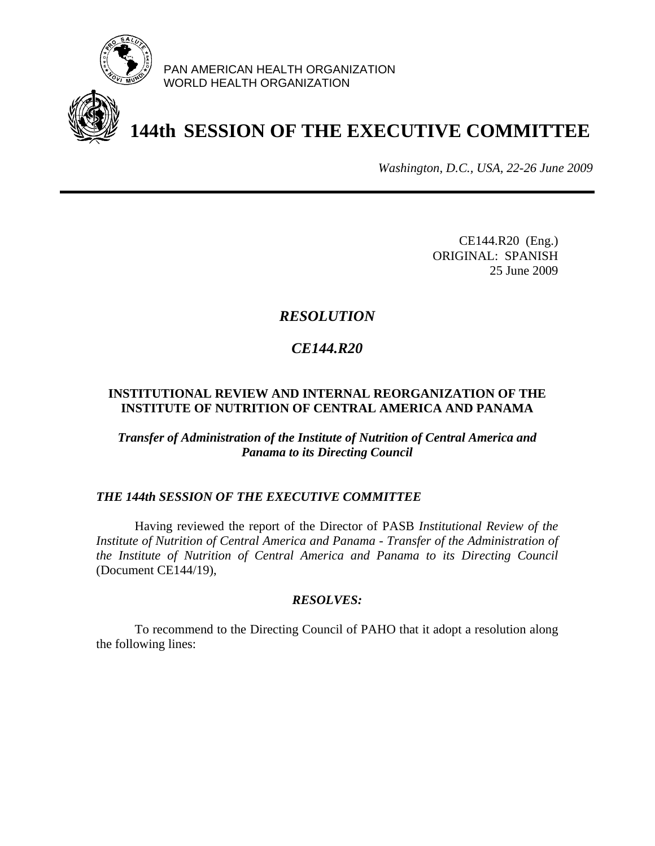

PAN AMERICAN HEALTH ORGANIZATION WORLD HEALTH ORGANIZATION

# **144th SESSION OF THE EXECUTIVE COMMITTEE**

*Washington, D.C., USA, 22-26 June 2009*

CE144.R20 (Eng.) ORIGINAL: SPANISH 25 June 2009

# *RESOLUTION*

# *CE144.R20*

### **INSTITUTIONAL REVIEW AND INTERNAL REORGANIZATION OF THE INSTITUTE OF NUTRITION OF CENTRAL AMERICA AND PANAMA**

*Transfer of Administration of the Institute of Nutrition of Central America and Panama to its Directing Council*

## *THE 144th SESSION OF THE EXECUTIVE COMMITTEE*

 Having reviewed the report of the Director of PASB *Institutional Review of the Institute of Nutrition of Central America and Panama - Transfer of the Administration of the Institute of Nutrition of Central America and Panama to its Directing Council* (Document CE144/19),

#### *RESOLVES:*

 To recommend to the Directing Council of PAHO that it adopt a resolution along the following lines: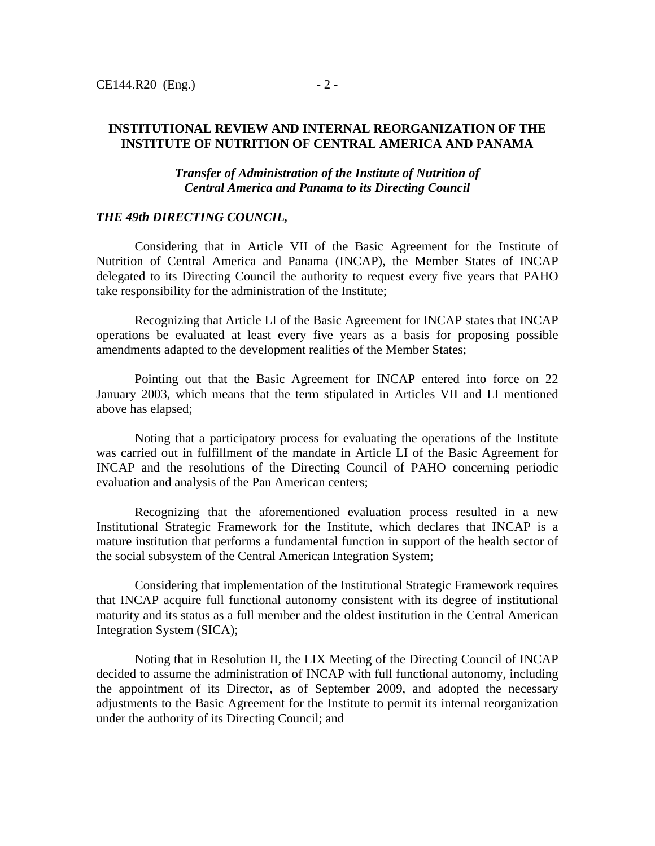*Transfer of Administration of the Institute of Nutrition of Central America and Panama to its Directing Council*

#### *THE 49th DIRECTING COUNCIL,*

 Considering that in Article VII of the Basic Agreement for the Institute of Nutrition of Central America and Panama (INCAP), the Member States of INCAP delegated to its Directing Council the authority to request every five years that PAHO take responsibility for the administration of the Institute;

 Recognizing that Article LI of the Basic Agreement for INCAP states that INCAP operations be evaluated at least every five years as a basis for proposing possible amendments adapted to the development realities of the Member States;

 Pointing out that the Basic Agreement for INCAP entered into force on 22 January 2003, which means that the term stipulated in Articles VII and LI mentioned above has elapsed;

 Noting that a participatory process for evaluating the operations of the Institute was carried out in fulfillment of the mandate in Article LI of the Basic Agreement for INCAP and the resolutions of the Directing Council of PAHO concerning periodic evaluation and analysis of the Pan American centers;

 Recognizing that the aforementioned evaluation process resulted in a new Institutional Strategic Framework for the Institute, which declares that INCAP is a mature institution that performs a fundamental function in support of the health sector of the social subsystem of the Central American Integration System;

 Considering that implementation of the Institutional Strategic Framework requires that INCAP acquire full functional autonomy consistent with its degree of institutional maturity and its status as a full member and the oldest institution in the Central American Integration System (SICA);

 Noting that in Resolution II, the LIX Meeting of the Directing Council of INCAP decided to assume the administration of INCAP with full functional autonomy, including the appointment of its Director, as of September 2009, and adopted the necessary adjustments to the Basic Agreement for the Institute to permit its internal reorganization under the authority of its Directing Council; and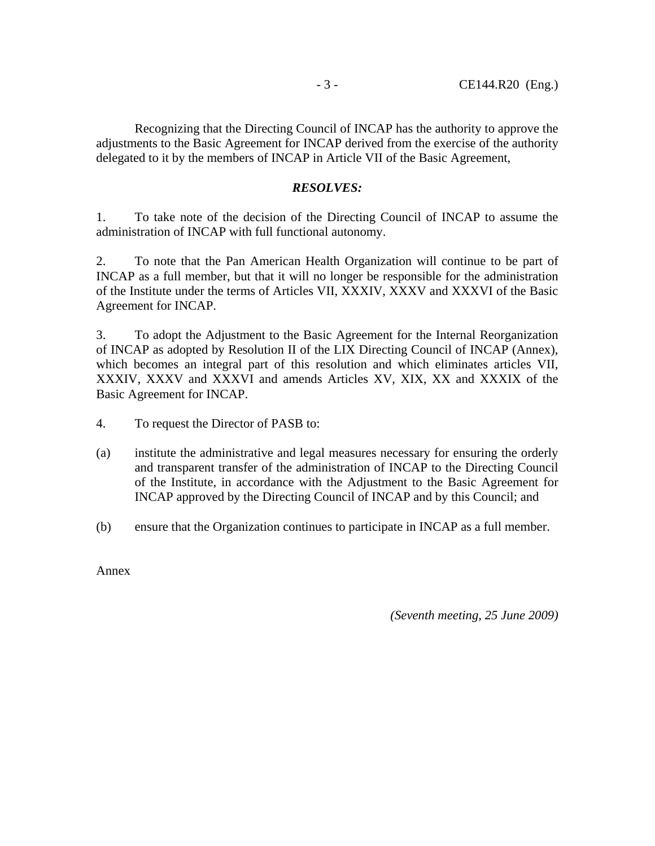Recognizing that the Directing Council of INCAP has the authority to approve the adjustments to the Basic Agreement for INCAP derived from the exercise of the authority delegated to it by the members of INCAP in Article VII of the Basic Agreement,

### *RESOLVES:*

1. To take note of the decision of the Directing Council of INCAP to assume the administration of INCAP with full functional autonomy.

2. To note that the Pan American Health Organization will continue to be part of INCAP as a full member, but that it will no longer be responsible for the administration of the Institute under the terms of Articles VII, XXXIV, XXXV and XXXVI of the Basic Agreement for INCAP.

3. To adopt the Adjustment to the Basic Agreement for the Internal Reorganization of INCAP as adopted by Resolution II of the LIX Directing Council of INCAP (Annex), which becomes an integral part of this resolution and which eliminates articles VII, XXXIV, XXXV and XXXVI and amends Articles XV, XIX, XX and XXXIX of the Basic Agreement for INCAP.

- 4. To request the Director of PASB to:
- (a) institute the administrative and legal measures necessary for ensuring the orderly and transparent transfer of the administration of INCAP to the Directing Council of the Institute, in accordance with the Adjustment to the Basic Agreement for INCAP approved by the Directing Council of INCAP and by this Council; and
- (b) ensure that the Organization continues to participate in INCAP as a full member.

Annex

*(Seventh meeting, 25 June 2009)*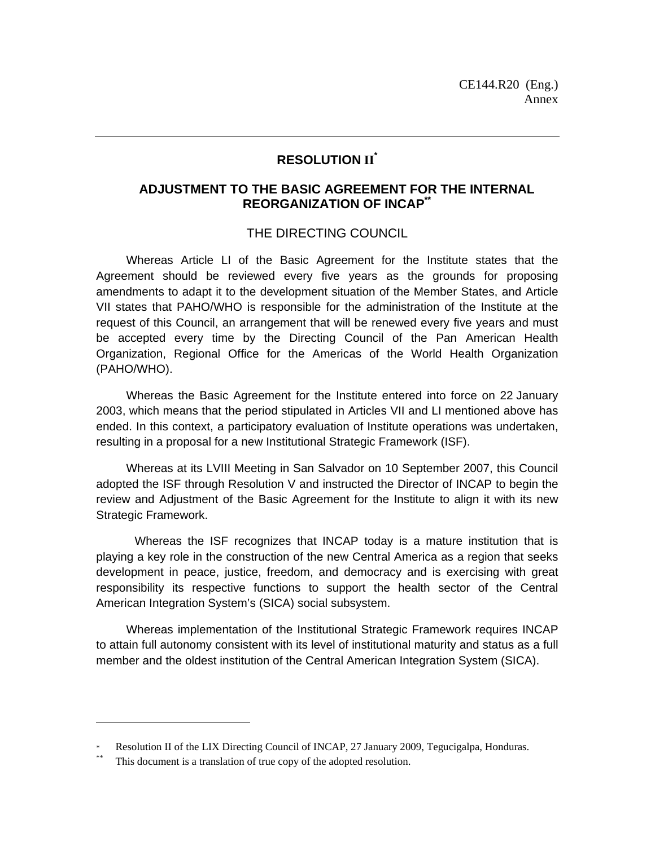#### **RESOLUTION II\***

#### **ADJUSTMENT TO THE BASIC AGREEMENT FOR THE INTERNAL REORGANIZATION OF INCAP\*\***

#### THE DIRECTING COUNCIL

 Whereas Article LI of the Basic Agreement for the Institute states that the Agreement should be reviewed every five years as the grounds for proposing amendments to adapt it to the development situation of the Member States, and Article VII states that PAHO/WHO is responsible for the administration of the Institute at the request of this Council, an arrangement that will be renewed every five years and must be accepted every time by the Directing Council of the Pan American Health Organization, Regional Office for the Americas of the World Health Organization (PAHO/WHO).

 Whereas the Basic Agreement for the Institute entered into force on 22 January 2003, which means that the period stipulated in Articles VII and LI mentioned above has ended. In this context, a participatory evaluation of Institute operations was undertaken, resulting in a proposal for a new Institutional Strategic Framework (ISF).

 Whereas at its LVIII Meeting in San Salvador on 10 September 2007, this Council adopted the ISF through Resolution V and instructed the Director of INCAP to begin the review and Adjustment of the Basic Agreement for the Institute to align it with its new Strategic Framework.

Whereas the ISF recognizes that INCAP today is a mature institution that is playing a key role in the construction of the new Central America as a region that seeks development in peace, justice, freedom, and democracy and is exercising with great responsibility its respective functions to support the health sector of the Central American Integration System's (SICA) social subsystem.

 Whereas implementation of the Institutional Strategic Framework requires INCAP to attain full autonomy consistent with its level of institutional maturity and status as a full member and the oldest institution of the Central American Integration System (SICA).

 $\overline{a}$ 

Resolution II of the LIX Directing Council of INCAP, 27 January 2009, Tegucigalpa, Honduras.<br><sup>\*</sup> This document is a translation of true copy of the adopted resolution.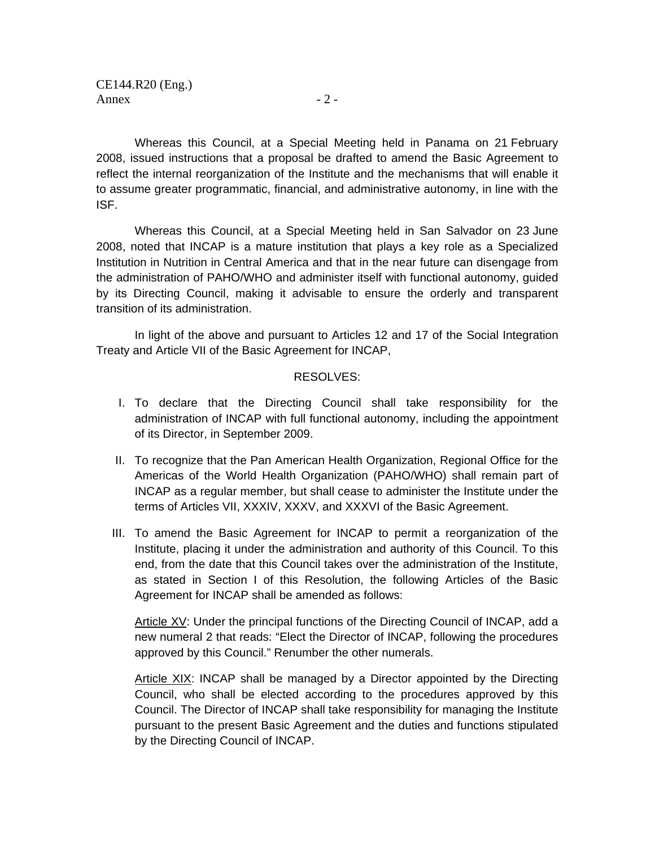Whereas this Council, at a Special Meeting held in Panama on 21 February 2008, issued instructions that a proposal be drafted to amend the Basic Agreement to reflect the internal reorganization of the Institute and the mechanisms that will enable it to assume greater programmatic, financial, and administrative autonomy, in line with the ISF.

Whereas this Council, at a Special Meeting held in San Salvador on 23 June 2008, noted that INCAP is a mature institution that plays a key role as a Specialized Institution in Nutrition in Central America and that in the near future can disengage from the administration of PAHO/WHO and administer itself with functional autonomy, guided by its Directing Council, making it advisable to ensure the orderly and transparent transition of its administration.

In light of the above and pursuant to Articles 12 and 17 of the Social Integration Treaty and Article VII of the Basic Agreement for INCAP,

#### RESOLVES:

- I. To declare that the Directing Council shall take responsibility for the administration of INCAP with full functional autonomy, including the appointment of its Director, in September 2009.
- II. To recognize that the Pan American Health Organization, Regional Office for the Americas of the World Health Organization (PAHO/WHO) shall remain part of INCAP as a regular member, but shall cease to administer the Institute under the terms of Articles VII, XXXIV, XXXV, and XXXVI of the Basic Agreement.
- III. To amend the Basic Agreement for INCAP to permit a reorganization of the Institute, placing it under the administration and authority of this Council. To this end, from the date that this Council takes over the administration of the Institute, as stated in Section I of this Resolution, the following Articles of the Basic Agreement for INCAP shall be amended as follows:

Article XV: Under the principal functions of the Directing Council of INCAP, add a new numeral 2 that reads: "Elect the Director of INCAP, following the procedures approved by this Council." Renumber the other numerals.

Article XIX: INCAP shall be managed by a Director appointed by the Directing Council, who shall be elected according to the procedures approved by this Council. The Director of INCAP shall take responsibility for managing the Institute pursuant to the present Basic Agreement and the duties and functions stipulated by the Directing Council of INCAP.